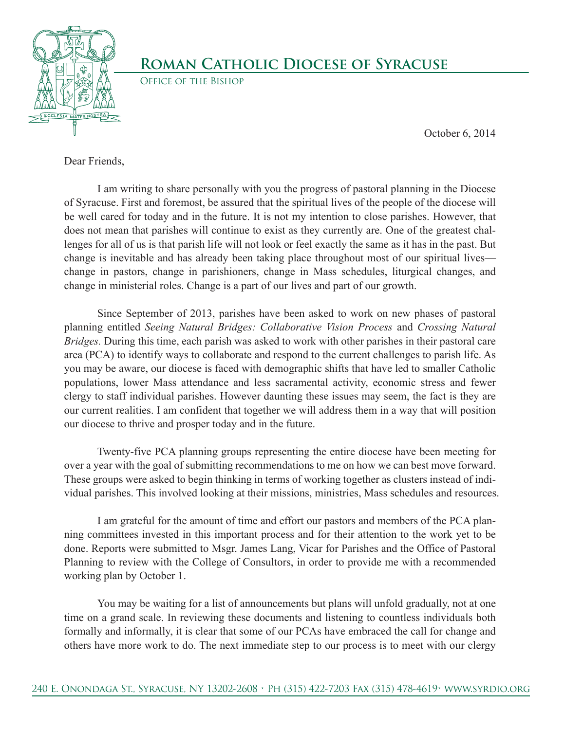

## **Roman Catholic Diocese of Syracuse**

Office of the Bishop

October 6, 2014

Dear Friends,

 I am writing to share personally with you the progress of pastoral planning in the Diocese of Syracuse. First and foremost, be assured that the spiritual lives of the people of the diocese will be well cared for today and in the future. It is not my intention to close parishes. However, that does not mean that parishes will continue to exist as they currently are. One of the greatest challenges for all of us is that parish life will not look or feel exactly the same as it has in the past. But change is inevitable and has already been taking place throughout most of our spiritual lives change in pastors, change in parishioners, change in Mass schedules, liturgical changes, and change in ministerial roles. Change is a part of our lives and part of our growth.

 Since September of 2013, parishes have been asked to work on new phases of pastoral planning entitled *Seeing Natural Bridges: Collaborative Vision Process* and *Crossing Natural Bridges.* During this time, each parish was asked to work with other parishes in their pastoral care area (PCA) to identify ways to collaborate and respond to the current challenges to parish life. As you may be aware, our diocese is faced with demographic shifts that have led to smaller Catholic populations, lower Mass attendance and less sacramental activity, economic stress and fewer clergy to staff individual parishes. However daunting these issues may seem, the fact is they are our current realities. I am confident that together we will address them in a way that will position our diocese to thrive and prosper today and in the future.

 Twenty-five PCA planning groups representing the entire diocese have been meeting for over a year with the goal of submitting recommendations to me on how we can best move forward. These groups were asked to begin thinking in terms of working together as clusters instead of individual parishes. This involved looking at their missions, ministries, Mass schedules and resources.

 I am grateful for the amount of time and effort our pastors and members of the PCA planning committees invested in this important process and for their attention to the work yet to be done. Reports were submitted to Msgr. James Lang, Vicar for Parishes and the Office of Pastoral Planning to review with the College of Consultors, in order to provide me with a recommended working plan by October 1.

 You may be waiting for a list of announcements but plans will unfold gradually, not at one time on a grand scale. In reviewing these documents and listening to countless individuals both formally and informally, it is clear that some of our PCAs have embraced the call for change and others have more work to do. The next immediate step to our process is to meet with our clergy